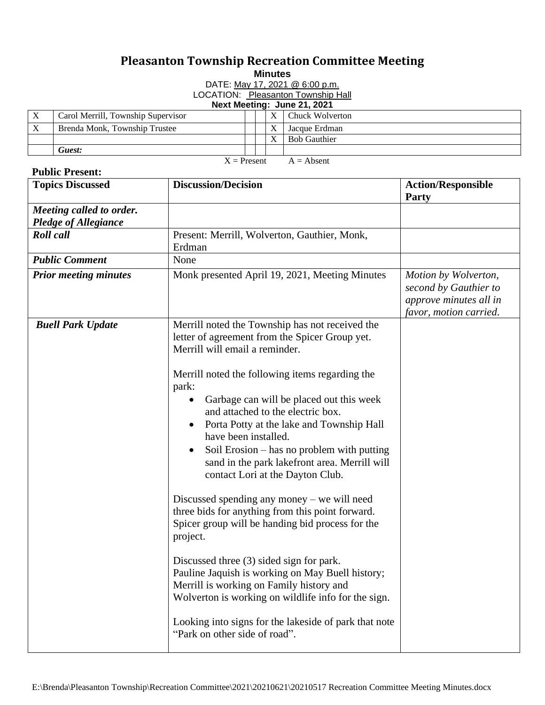## **Pleasanton Township Recreation Committee Meeting**

**Minutes**

DATE: May 17, 2021 @ 6:00 p.m. LOCATION: Pleasanton Township Hall

**Next Meeting: June 21, 2021**

|               | Carol Merrill, Township Supervisor |  |  |              | Chuck Wolverton     |
|---------------|------------------------------------|--|--|--------------|---------------------|
|               | Brenda Monk, Township Trustee      |  |  |              | Jacque Erdman       |
|               |                                    |  |  |              | <b>Bob Gauthier</b> |
|               | Guest:                             |  |  |              |                     |
| $X =$ Present |                                    |  |  | $A =$ Absent |                     |

## **Public Present:**

| <b>Topics Discussed</b>                                 | <b>Discussion/Decision</b>                                                                                                                                                                                                                                                                                                                                     | <b>Action/Responsible</b><br><b>Party</b>                                                         |
|---------------------------------------------------------|----------------------------------------------------------------------------------------------------------------------------------------------------------------------------------------------------------------------------------------------------------------------------------------------------------------------------------------------------------------|---------------------------------------------------------------------------------------------------|
| Meeting called to order.<br><b>Pledge of Allegiance</b> |                                                                                                                                                                                                                                                                                                                                                                |                                                                                                   |
| <b>Roll</b> call                                        | Present: Merrill, Wolverton, Gauthier, Monk,<br>Erdman                                                                                                                                                                                                                                                                                                         |                                                                                                   |
| <b>Public Comment</b>                                   | None                                                                                                                                                                                                                                                                                                                                                           |                                                                                                   |
| <b>Prior meeting minutes</b>                            | Monk presented April 19, 2021, Meeting Minutes                                                                                                                                                                                                                                                                                                                 | Motion by Wolverton,<br>second by Gauthier to<br>approve minutes all in<br>favor, motion carried. |
| <b>Buell Park Update</b>                                | Merrill noted the Township has not received the<br>letter of agreement from the Spicer Group yet.<br>Merrill will email a reminder.                                                                                                                                                                                                                            |                                                                                                   |
|                                                         | Merrill noted the following items regarding the<br>park:<br>Garbage can will be placed out this week<br>and attached to the electric box.<br>Porta Potty at the lake and Township Hall<br>have been installed.<br>Soil Erosion – has no problem with putting<br>$\bullet$<br>sand in the park lakefront area. Merrill will<br>contact Lori at the Dayton Club. |                                                                                                   |
|                                                         | Discussed spending any money $-$ we will need<br>three bids for anything from this point forward.<br>Spicer group will be handing bid process for the<br>project.                                                                                                                                                                                              |                                                                                                   |
|                                                         | Discussed three (3) sided sign for park.<br>Pauline Jaquish is working on May Buell history;<br>Merrill is working on Family history and<br>Wolverton is working on wildlife info for the sign.                                                                                                                                                                |                                                                                                   |
|                                                         | Looking into signs for the lakeside of park that note<br>"Park on other side of road".                                                                                                                                                                                                                                                                         |                                                                                                   |